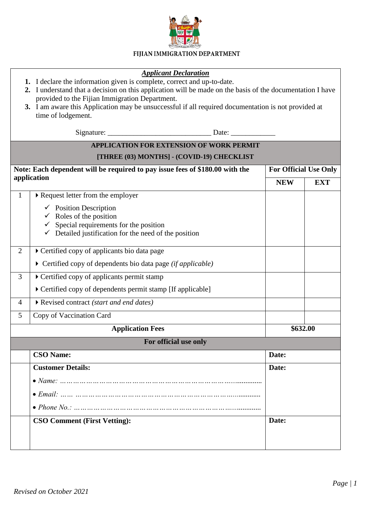

## FIJIAN IMMIGRATION DEPARTMENT

| <b>Applicant Declaration</b><br>1. I declare the information given is complete, correct and up-to-date.<br>2. I understand that a decision on this application will be made on the basis of the documentation I have<br>provided to the Fijian Immigration Department.<br>3. I am aware this Application may be unsuccessful if all required documentation is not provided at<br>time of lodgement. |                                                                                             |                              |            |  |
|-----------------------------------------------------------------------------------------------------------------------------------------------------------------------------------------------------------------------------------------------------------------------------------------------------------------------------------------------------------------------------------------------------|---------------------------------------------------------------------------------------------|------------------------------|------------|--|
|                                                                                                                                                                                                                                                                                                                                                                                                     |                                                                                             |                              |            |  |
| <b>APPLICATION FOR EXTENSION OF WORK PERMIT</b>                                                                                                                                                                                                                                                                                                                                                     |                                                                                             |                              |            |  |
| [THREE (03) MONTHS] - (COVID-19) CHECKLIST                                                                                                                                                                                                                                                                                                                                                          |                                                                                             |                              |            |  |
| Note: Each dependent will be required to pay issue fees of \$180.00 with the<br>application                                                                                                                                                                                                                                                                                                         |                                                                                             | <b>For Official Use Only</b> |            |  |
|                                                                                                                                                                                                                                                                                                                                                                                                     |                                                                                             | <b>NEW</b>                   | <b>EXT</b> |  |
| $\mathbf{1}$                                                                                                                                                                                                                                                                                                                                                                                        | Request letter from the employer                                                            |                              |            |  |
|                                                                                                                                                                                                                                                                                                                                                                                                     | $\checkmark$ Position Description                                                           |                              |            |  |
|                                                                                                                                                                                                                                                                                                                                                                                                     | $\checkmark$ Roles of the position<br>Special requirements for the position<br>$\checkmark$ |                              |            |  |
|                                                                                                                                                                                                                                                                                                                                                                                                     | $\checkmark$ Detailed justification for the need of the position                            |                              |            |  |
| $\overline{2}$                                                                                                                                                                                                                                                                                                                                                                                      | Certified copy of applicants bio data page                                                  |                              |            |  |
|                                                                                                                                                                                                                                                                                                                                                                                                     | $\triangleright$ Certified copy of dependents bio data page (if applicable)                 |                              |            |  |
| 3                                                                                                                                                                                                                                                                                                                                                                                                   | Certified copy of applicants permit stamp                                                   |                              |            |  |
|                                                                                                                                                                                                                                                                                                                                                                                                     | Certified copy of dependents permit stamp [If applicable]                                   |                              |            |  |
| $\overline{4}$                                                                                                                                                                                                                                                                                                                                                                                      | Revised contract (start and end dates)                                                      |                              |            |  |
| 5                                                                                                                                                                                                                                                                                                                                                                                                   | Copy of Vaccination Card                                                                    |                              |            |  |
| <b>Application Fees</b>                                                                                                                                                                                                                                                                                                                                                                             |                                                                                             | \$632.00                     |            |  |
| For official use only                                                                                                                                                                                                                                                                                                                                                                               |                                                                                             |                              |            |  |
|                                                                                                                                                                                                                                                                                                                                                                                                     | <b>CSO Name:</b>                                                                            | Date:                        |            |  |
|                                                                                                                                                                                                                                                                                                                                                                                                     | <b>Customer Details:</b>                                                                    | Date:                        |            |  |
|                                                                                                                                                                                                                                                                                                                                                                                                     |                                                                                             |                              |            |  |
|                                                                                                                                                                                                                                                                                                                                                                                                     |                                                                                             |                              |            |  |
|                                                                                                                                                                                                                                                                                                                                                                                                     |                                                                                             |                              |            |  |
|                                                                                                                                                                                                                                                                                                                                                                                                     | <b>CSO Comment (First Vetting):</b>                                                         | Date:                        |            |  |